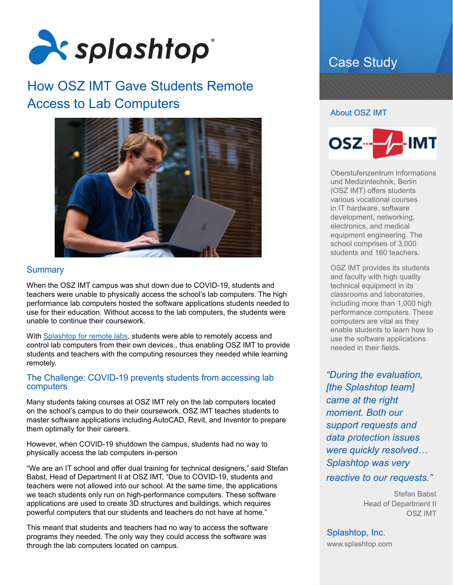

# How OSZ IMT Gave Students Remote Access to Lab Computers



# **Summary**

When the OSZ IMT campus was shut down due to COVID-19, students and teachers were unable to physically access the school's lab computers. The high performance lab computers hosted the software applications students needed to use for their education. Without access to the lab computers, the students were unable to continue their coursework.

With [Splashtop for remote labs,](http://www.splashtop.com/remote-labs) students were able to remotely access and control lab computers from their own devices., thus enabling OSZ IMT to provide students and teachers with the computing resources they needed while learning remotely.

#### The Challenge: COVID-19 prevents students from accessing lab computers

Many students taking courses at OSZ IMT rely on the lab computers located on the school's campus to do their coursework. OSZ IMT teaches students to master software applications including AutoCAD, Revit, and Inventor to prepare them optimally for their careers.

However, when COVID-19 shutdown the campus, students had no way to physically access the lab computers in-person

"We are an IT school and offer dual training for technical designers," said Stefan Babst, Head of Department II at OSZ IMT, "Due to COVID-19, students and teachers were not allowed into our school. At the same time, the applications we teach students only run on high-performance computers. These software applications are used to create 3D structures and buildings, which requires powerful computers that our students and teachers do not have at home."

This meant that students and teachers had no way to access the software programs they needed. The only way they could access the software was through the lab computers located on campus.

# Case Study

#### About OSZ IMT



Oberstufenzentrum Informations und Medizintechnik, Berlin (OSZ IMT) offers students various vocational courses in IT hardware, software development, networking, electronics, and medical equipment engineering. The school comprises of 3,000 students and 160 teachers.

OSZ IMT provides its students and faculty with high quality technical equipment in its classrooms and laboratories, including more than 1,000 high performance computers. These computers are vital as they enable students to learn how to use the software applications needed in their fields.

*"During the evaluation, [the Splashtop team] came at the right moment. Both our support requests and data protection issues were quickly resolved… Splashtop was very reactive to our requests."*

> Stefan Babst Head of Department II OSZ IMT

Splashtop, Inc. [www.splashtop.com](https://www.splashtop.com/)